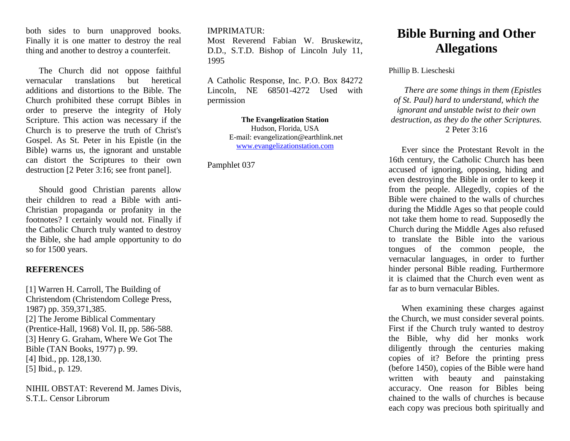both sides to burn unapproved books. Finally it is one matter to destroy the real thing and another to destroy a counterfeit.

The Church did not oppose faithful vernacular translations but heretical additions and distortions to the Bible. The Church prohibited these corrupt Bibles in order to preserve the integrity of Holy Scripture. This action was necessary if the Church is to preserve the truth of Christ's Gospel. As St. Peter in his Epistle (in the Bible) warns us, the ignorant and unstable can distort the Scriptures to their own destruction [2 Peter 3:16; see front panel].

Should good Christian parents allow their children to read a Bible with anti-Christian propaganda or profanity in the footnotes? I certainly would not. Finally if the Catholic Church truly wanted to destroy the Bible, she had ample opportunity to do so for 1500 years.

## **REFERENCES**

[1] Warren H. Carroll, The Building of Christendom (Christendom College Press, 1987) pp. 359,371,385. [2] The Jerome Biblical Commentary (Prentice-Hall, 1968) Vol. II, pp. 586-588. [3] Henry G. Graham, Where We Got The Bible (TAN Books, 1977) p. 99. [4] Ibid., pp. 128,130. [5] Ibid., p. 129.

NIHIL OBSTAT: Reverend M. James Divis, S.T.L. Censor Librorum

## IMPRIMATUR:

Most Reverend Fabian W. Bruskewitz, D.D., S.T.D. Bishop of Lincoln July 11, 1995

A Catholic Response, Inc. P.O. Box 84272 Lincoln, NE 68501-4272 Used with permission

> **The Evangelization Station** Hudson, Florida, USA E-mail: evangelization@earthlink.net [www.evangelizationstation.com](http://www.pjpiisoe.org/)

Pamphlet 037

## **Bible Burning and Other Allegations**

Phillip B. Liescheski

*There are some things in them (Epistles of St. Paul) hard to understand, which the ignorant and unstable twist to their own destruction, as they do the other Scriptures.* 2 Peter 3:16

Ever since the Protestant Revolt in the 16th century, the Catholic Church has been accused of ignoring, opposing, hiding and even destroying the Bible in order to keep it from the people. Allegedly, copies of the Bible were chained to the walls of churches during the Middle Ages so that people could not take them home to read. Supposedly the Church during the Middle Ages also refused to translate the Bible into the various tongues of the common people, the vernacular languages, in order to further hinder personal Bible reading. Furthermore it is claimed that the Church even went as far as to burn vernacular Bibles.

When examining these charges against the Church, we must consider several points. First if the Church truly wanted to destroy the Bible, why did her monks work diligently through the centuries making copies of it? Before the printing press (before 1450), copies of the Bible were hand written with beauty and painstaking accuracy. One reason for Bibles being chained to the walls of churches is because each copy was precious both spiritually and